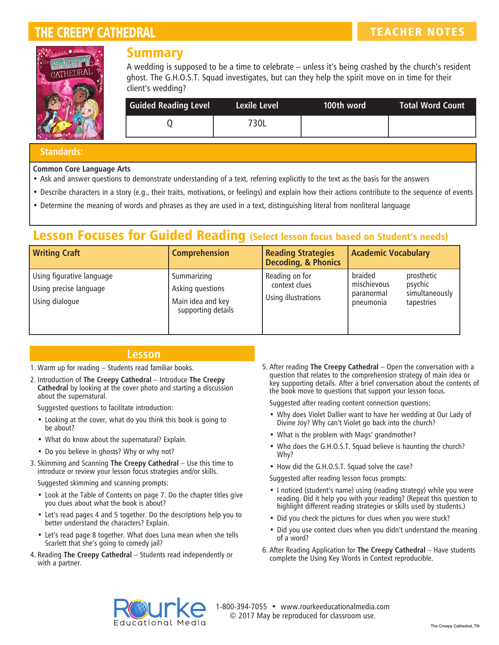# THE CREEPY CATHEDRAL THE CREEPY CATHEDRAL THE CREEPY CATHEDRAL TEACHER NOTES



### Summary

A wedding is supposed to be a time to celebrate – unless it's being crashed by the church's resident ghost. The G.H.O.S.T. Squad investigates, but can they help the spirit move on in time for their client's wedding?

| <b>Guided Reading Level</b> | Lexile Level | 100th word | Total Word Count |
|-----------------------------|--------------|------------|------------------|
|                             | 730L         |            |                  |

#### **Standards:**

#### **Common Core Language Arts**

- Ask and answer questions to demonstrate understanding of a text, referring explicitly to the text as the basis for the answers
- Describe characters in a story (e.g., their traits, motivations, or feelings) and explain how their actions contribute to the sequence of events
- Determine the meaning of words and phrases as they are used in a text, distinguishing literal from nonliteral language

## Lesson Focuses for Guided Reading (Select lesson focus based on Student's needs)

| <b>Writing Craft</b>                                                  | <b>Comprehension</b>                                                       | <b>Reading Strategies</b><br><b>Decoding, &amp; Phonics</b> | <b>Academic Vocabulary</b>                                                                                 |
|-----------------------------------------------------------------------|----------------------------------------------------------------------------|-------------------------------------------------------------|------------------------------------------------------------------------------------------------------------|
| Using figurative language<br>Using precise language<br>Using dialogue | Summarizing<br>Asking questions<br>Main idea and key<br>supporting details | Reading on for<br>context clues<br>Using illustrations      | braided<br>prosthetic<br>mischievous<br>psychic<br>simultaneously<br>paranormal<br>tapestries<br>pneumonia |

### **Lesson**

- 1. Warm up for reading Students read familiar books.
- 2. Introduction of **The Creepy Cathedral** Introduce **The Creepy Cathedral** by looking at the cover photo and starting a discussion about the supernatural.

Suggested questions to facilitate introduction:

- Looking at the cover, what do you think this book is going to be about?
- What do know about the supernatural? Explain.
- Do you believe in ghosts? Why or why not?
- 3. Skimming and Scanning **The Creepy Cathedral** Use this time to introduce or review your lesson focus strategies and/or skills.

Suggested skimming and scanning prompts:

- Look at the Table of Contents on page 7. Do the chapter titles give you clues about what the book is about?
- Let's read pages 4 and 5 together. Do the descriptions help you to better understand the characters? Explain.
- Let's read page 8 together. What does Luna mean when she tells Scarlett that she's going to comedy jail?
- 4. Reading **The Creepy Cathedral** Students read independently or with a partner.

5. After reading **The Creepy Cathedral** – Open the conversation with a question that relates to the comprehension strategy of main idea or key supporting details. After a brief conversation about the contents of the book move to questions that support your lesson focus.

Suggested after reading content connection questions:

- Why does Violet Dallier want to have her wedding at Our Lady of Divine Joy? Why can't Violet go back into the church?
- What is the problem with Mags' grandmother?
- Who does the G.H.O.S.T. Squad believe is haunting the church? Why?
- How did the G.H.O.S.T. Squad solve the case?

Suggested after reading lesson focus prompts:

- I noticed (student's name) using (reading strategy) while you were reading. Did it help you with your reading? (Repeat this question to highlight different reading strategies or skills used by students.)
- Did you check the pictures for clues when you were stuck?
- Did you use context clues when you didn't understand the meaning of a word?
- 6. After Reading Application for **The Creepy Cathedral** Have students complete the Using Key Words in Context reproducible.



1-800-394-7055 • www.rourkeeducationalmedia.com © 2017 May be reproduced for classroom use.